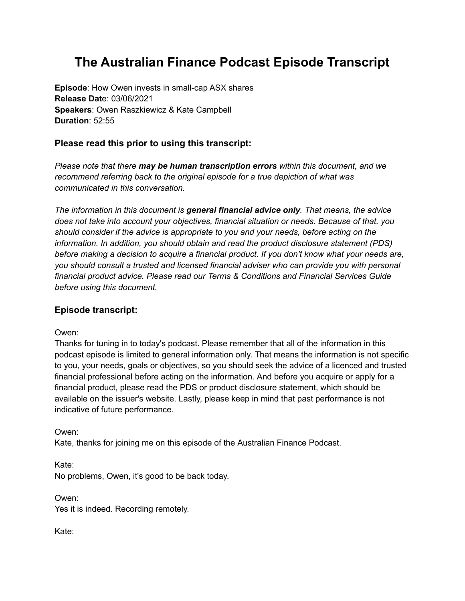# **The Australian Finance Podcast Episode Transcript**

**Episode**: How Owen invests in small-cap ASX shares **Release Dat**e: 03/06/2021 **Speakers**: Owen Raszkiewicz & Kate Campbell **Duration**: 52:55

# **Please read this prior to using this transcript:**

*Please note that there may be human transcription errors within this document, and we recommend referring back to the original episode for a true depiction of what was communicated in this conversation.*

*The information in this document is general financial advice only. That means, the advice does not take into account your objectives, financial situation or needs. Because of that, you should consider if the advice is appropriate to you and your needs, before acting on the information. In addition, you should obtain and read the product disclosure statement (PDS) before making a decision to acquire a financial product. If you don't know what your needs are, you should consult a trusted and licensed financial adviser who can provide you with personal financial product advice. Please read our Terms & [Conditions](https://www.rask.com.au/terms) and [Financial](https://www.rask.com.au/fsg) Services Guide before using this document.*

# **Episode transcript:**

Owen:

Thanks for tuning in to today's podcast. Please remember that all of the information in this podcast episode is limited to general information only. That means the information is not specific to you, your needs, goals or objectives, so you should seek the advice of a licenced and trusted financial professional before acting on the information. And before you acquire or apply for a financial product, please read the PDS or product disclosure statement, which should be available on the issuer's website. Lastly, please keep in mind that past performance is not indicative of future performance.

Owen: Kate, thanks for joining me on this episode of the Australian Finance Podcast.

Kate: No problems, Owen, it's good to be back today.

Owen: Yes it is indeed. Recording remotely.

Kate: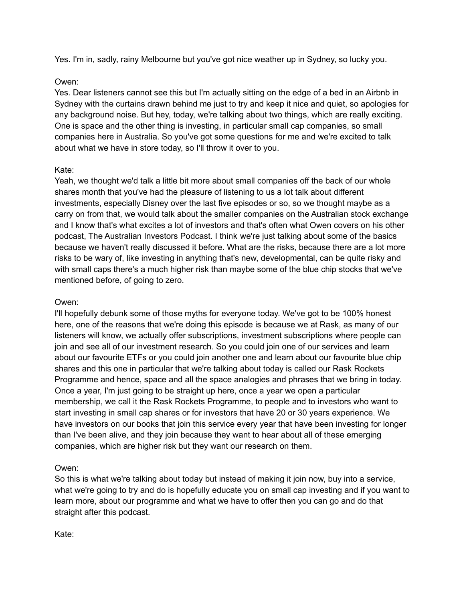Yes. I'm in, sadly, rainy Melbourne but you've got nice weather up in Sydney, so lucky you.

# Owen:

Yes. Dear listeners cannot see this but I'm actually sitting on the edge of a bed in an Airbnb in Sydney with the curtains drawn behind me just to try and keep it nice and quiet, so apologies for any background noise. But hey, today, we're talking about two things, which are really exciting. One is space and the other thing is investing, in particular small cap companies, so small companies here in Australia. So you've got some questions for me and we're excited to talk about what we have in store today, so I'll throw it over to you.

# Kate:

Yeah, we thought we'd talk a little bit more about small companies off the back of our whole shares month that you've had the pleasure of listening to us a lot talk about different investments, especially Disney over the last five episodes or so, so we thought maybe as a carry on from that, we would talk about the smaller companies on the Australian stock exchange and I know that's what excites a lot of investors and that's often what Owen covers on his other podcast, The Australian Investors Podcast. I think we're just talking about some of the basics because we haven't really discussed it before. What are the risks, because there are a lot more risks to be wary of, like investing in anything that's new, developmental, can be quite risky and with small caps there's a much higher risk than maybe some of the blue chip stocks that we've mentioned before, of going to zero.

# Owen:

I'll hopefully debunk some of those myths for everyone today. We've got to be 100% honest here, one of the reasons that we're doing this episode is because we at Rask, as many of our listeners will know, we actually offer subscriptions, investment subscriptions where people can join and see all of our investment research. So you could join one of our services and learn about our favourite ETFs or you could join another one and learn about our favourite blue chip shares and this one in particular that we're talking about today is called our Rask Rockets Programme and hence, space and all the space analogies and phrases that we bring in today. Once a year, I'm just going to be straight up here, once a year we open a particular membership, we call it the Rask Rockets Programme, to people and to investors who want to start investing in small cap shares or for investors that have 20 or 30 years experience. We have investors on our books that join this service every year that have been investing for longer than I've been alive, and they join because they want to hear about all of these emerging companies, which are higher risk but they want our research on them.

# Owen:

So this is what we're talking about today but instead of making it join now, buy into a service, what we're going to try and do is hopefully educate you on small cap investing and if you want to learn more, about our programme and what we have to offer then you can go and do that straight after this podcast.

Kate: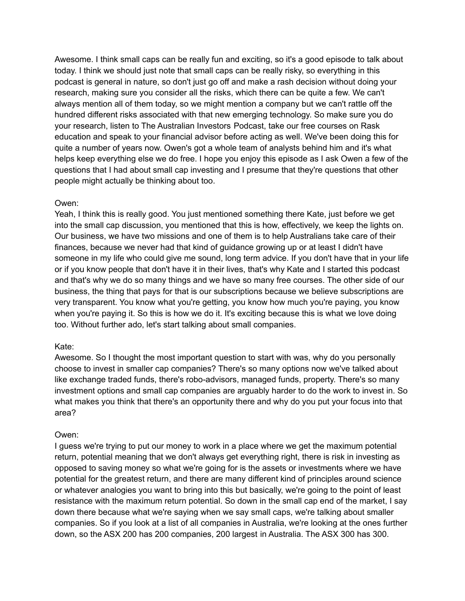Awesome. I think small caps can be really fun and exciting, so it's a good episode to talk about today. I think we should just note that small caps can be really risky, so everything in this podcast is general in nature, so don't just go off and make a rash decision without doing your research, making sure you consider all the risks, which there can be quite a few. We can't always mention all of them today, so we might mention a company but we can't rattle off the hundred different risks associated with that new emerging technology. So make sure you do your research, listen to The Australian Investors Podcast, take our free courses on Rask education and speak to your financial advisor before acting as well. We've been doing this for quite a number of years now. Owen's got a whole team of analysts behind him and it's what helps keep everything else we do free. I hope you enjoy this episode as I ask Owen a few of the questions that I had about small cap investing and I presume that they're questions that other people might actually be thinking about too.

#### Owen:

Yeah, I think this is really good. You just mentioned something there Kate, just before we get into the small cap discussion, you mentioned that this is how, effectively, we keep the lights on. Our business, we have two missions and one of them is to help Australians take care of their finances, because we never had that kind of guidance growing up or at least I didn't have someone in my life who could give me sound, long term advice. If you don't have that in your life or if you know people that don't have it in their lives, that's why Kate and I started this podcast and that's why we do so many things and we have so many free courses. The other side of our business, the thing that pays for that is our subscriptions because we believe subscriptions are very transparent. You know what you're getting, you know how much you're paying, you know when you're paying it. So this is how we do it. It's exciting because this is what we love doing too. Without further ado, let's start talking about small companies.

#### Kate:

Awesome. So I thought the most important question to start with was, why do you personally choose to invest in smaller cap companies? There's so many options now we've talked about like exchange traded funds, there's robo-advisors, managed funds, property. There's so many investment options and small cap companies are arguably harder to do the work to invest in. So what makes you think that there's an opportunity there and why do you put your focus into that area?

#### Owen:

I guess we're trying to put our money to work in a place where we get the maximum potential return, potential meaning that we don't always get everything right, there is risk in investing as opposed to saving money so what we're going for is the assets or investments where we have potential for the greatest return, and there are many different kind of principles around science or whatever analogies you want to bring into this but basically, we're going to the point of least resistance with the maximum return potential. So down in the small cap end of the market, I say down there because what we're saying when we say small caps, we're talking about smaller companies. So if you look at a list of all companies in Australia, we're looking at the ones further down, so the ASX 200 has 200 companies, 200 largest in Australia. The ASX 300 has 300.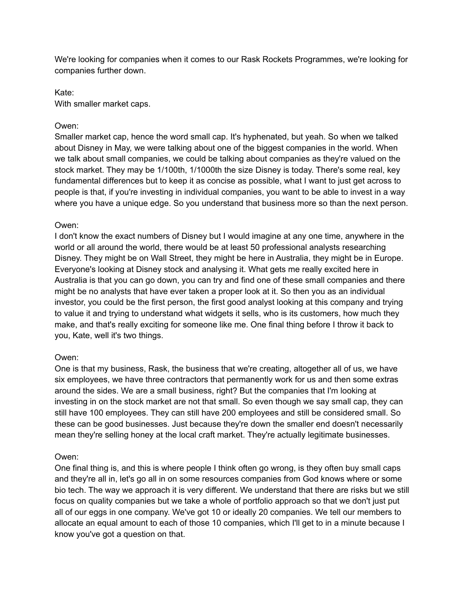We're looking for companies when it comes to our Rask Rockets Programmes, we're looking for companies further down.

Kate: With smaller market caps.

# Owen:

Smaller market cap, hence the word small cap. It's hyphenated, but yeah. So when we talked about Disney in May, we were talking about one of the biggest companies in the world. When we talk about small companies, we could be talking about companies as they're valued on the stock market. They may be 1/100th, 1/1000th the size Disney is today. There's some real, key fundamental differences but to keep it as concise as possible, what I want to just get across to people is that, if you're investing in individual companies, you want to be able to invest in a way where you have a unique edge. So you understand that business more so than the next person.

# Owen:

I don't know the exact numbers of Disney but I would imagine at any one time, anywhere in the world or all around the world, there would be at least 50 professional analysts researching Disney. They might be on Wall Street, they might be here in Australia, they might be in Europe. Everyone's looking at Disney stock and analysing it. What gets me really excited here in Australia is that you can go down, you can try and find one of these small companies and there might be no analysts that have ever taken a proper look at it. So then you as an individual investor, you could be the first person, the first good analyst looking at this company and trying to value it and trying to understand what widgets it sells, who is its customers, how much they make, and that's really exciting for someone like me. One final thing before I throw it back to you, Kate, well it's two things.

# Owen:

One is that my business, Rask, the business that we're creating, altogether all of us, we have six employees, we have three contractors that permanently work for us and then some extras around the sides. We are a small business, right? But the companies that I'm looking at investing in on the stock market are not that small. So even though we say small cap, they can still have 100 employees. They can still have 200 employees and still be considered small. So these can be good businesses. Just because they're down the smaller end doesn't necessarily mean they're selling honey at the local craft market. They're actually legitimate businesses.

# Owen:

One final thing is, and this is where people I think often go wrong, is they often buy small caps and they're all in, let's go all in on some resources companies from God knows where or some bio tech. The way we approach it is very different. We understand that there are risks but we still focus on quality companies but we take a whole of portfolio approach so that we don't just put all of our eggs in one company. We've got 10 or ideally 20 companies. We tell our members to allocate an equal amount to each of those 10 companies, which I'll get to in a minute because I know you've got a question on that.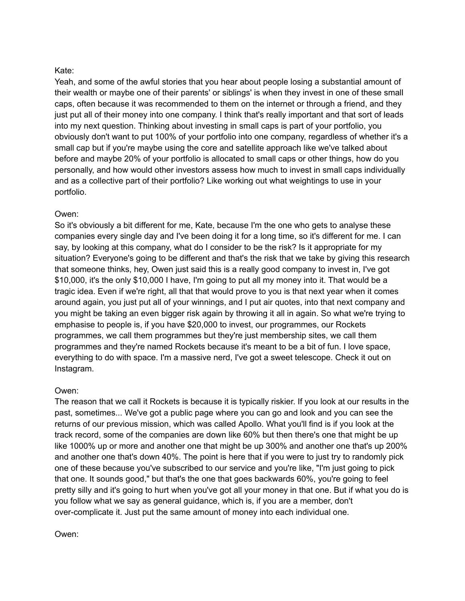# Kate:

Yeah, and some of the awful stories that you hear about people losing a substantial amount of their wealth or maybe one of their parents' or siblings' is when they invest in one of these small caps, often because it was recommended to them on the internet or through a friend, and they just put all of their money into one company. I think that's really important and that sort of leads into my next question. Thinking about investing in small caps is part of your portfolio, you obviously don't want to put 100% of your portfolio into one company, regardless of whether it's a small cap but if you're maybe using the core and satellite approach like we've talked about before and maybe 20% of your portfolio is allocated to small caps or other things, how do you personally, and how would other investors assess how much to invest in small caps individually and as a collective part of their portfolio? Like working out what weightings to use in your portfolio.

# Owen:

So it's obviously a bit different for me, Kate, because I'm the one who gets to analyse these companies every single day and I've been doing it for a long time, so it's different for me. I can say, by looking at this company, what do I consider to be the risk? Is it appropriate for my situation? Everyone's going to be different and that's the risk that we take by giving this research that someone thinks, hey, Owen just said this is a really good company to invest in, I've got \$10,000, it's the only \$10,000 I have, I'm going to put all my money into it. That would be a tragic idea. Even if we're right, all that that would prove to you is that next year when it comes around again, you just put all of your winnings, and I put air quotes, into that next company and you might be taking an even bigger risk again by throwing it all in again. So what we're trying to emphasise to people is, if you have \$20,000 to invest, our programmes, our Rockets programmes, we call them programmes but they're just membership sites, we call them programmes and they're named Rockets because it's meant to be a bit of fun. I love space, everything to do with space. I'm a massive nerd, I've got a sweet telescope. Check it out on Instagram.

# Owen:

The reason that we call it Rockets is because it is typically riskier. If you look at our results in the past, sometimes... We've got a public page where you can go and look and you can see the returns of our previous mission, which was called Apollo. What you'll find is if you look at the track record, some of the companies are down like 60% but then there's one that might be up like 1000% up or more and another one that might be up 300% and another one that's up 200% and another one that's down 40%. The point is here that if you were to just try to randomly pick one of these because you've subscribed to our service and you're like, "I'm just going to pick that one. It sounds good," but that's the one that goes backwards 60%, you're going to feel pretty silly and it's going to hurt when you've got all your money in that one. But if what you do is you follow what we say as general guidance, which is, if you are a member, don't over-complicate it. Just put the same amount of money into each individual one.

Owen: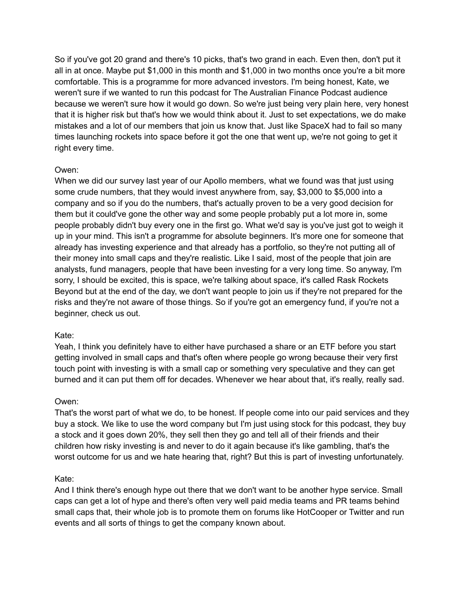So if you've got 20 grand and there's 10 picks, that's two grand in each. Even then, don't put it all in at once. Maybe put \$1,000 in this month and \$1,000 in two months once you're a bit more comfortable. This is a programme for more advanced investors. I'm being honest, Kate, we weren't sure if we wanted to run this podcast for The Australian Finance Podcast audience because we weren't sure how it would go down. So we're just being very plain here, very honest that it is higher risk but that's how we would think about it. Just to set expectations, we do make mistakes and a lot of our members that join us know that. Just like SpaceX had to fail so many times launching rockets into space before it got the one that went up, we're not going to get it right every time.

# Owen:

When we did our survey last year of our Apollo members, what we found was that just using some crude numbers, that they would invest anywhere from, say, \$3,000 to \$5,000 into a company and so if you do the numbers, that's actually proven to be a very good decision for them but it could've gone the other way and some people probably put a lot more in, some people probably didn't buy every one in the first go. What we'd say is you've just got to weigh it up in your mind. This isn't a programme for absolute beginners. It's more one for someone that already has investing experience and that already has a portfolio, so they're not putting all of their money into small caps and they're realistic. Like I said, most of the people that join are analysts, fund managers, people that have been investing for a very long time. So anyway, I'm sorry, I should be excited, this is space, we're talking about space, it's called Rask Rockets Beyond but at the end of the day, we don't want people to join us if they're not prepared for the risks and they're not aware of those things. So if you're got an emergency fund, if you're not a beginner, check us out.

# Kate:

Yeah, I think you definitely have to either have purchased a share or an ETF before you start getting involved in small caps and that's often where people go wrong because their very first touch point with investing is with a small cap or something very speculative and they can get burned and it can put them off for decades. Whenever we hear about that, it's really, really sad.

# Owen:

That's the worst part of what we do, to be honest. If people come into our paid services and they buy a stock. We like to use the word company but I'm just using stock for this podcast, they buy a stock and it goes down 20%, they sell then they go and tell all of their friends and their children how risky investing is and never to do it again because it's like gambling, that's the worst outcome for us and we hate hearing that, right? But this is part of investing unfortunately.

# Kate:

And I think there's enough hype out there that we don't want to be another hype service. Small caps can get a lot of hype and there's often very well paid media teams and PR teams behind small caps that, their whole job is to promote them on forums like HotCooper or Twitter and run events and all sorts of things to get the company known about.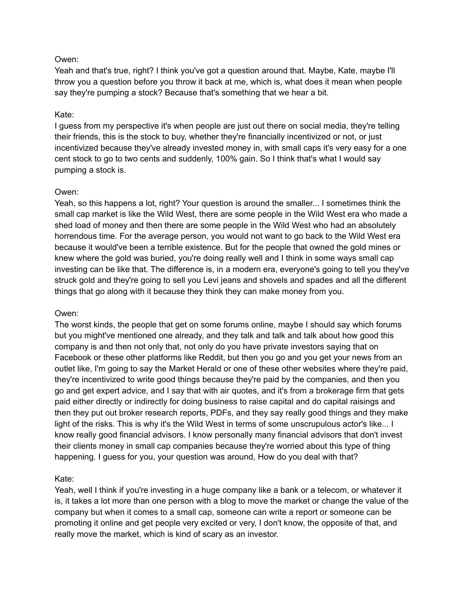Yeah and that's true, right? I think you've got a question around that. Maybe, Kate, maybe I'll throw you a question before you throw it back at me, which is, what does it mean when people say they're pumping a stock? Because that's something that we hear a bit.

#### Kate:

I guess from my perspective it's when people are just out there on social media, they're telling their friends, this is the stock to buy, whether they're financially incentivized or not, or just incentivized because they've already invested money in, with small caps it's very easy for a one cent stock to go to two cents and suddenly, 100% gain. So I think that's what I would say pumping a stock is.

#### Owen:

Yeah, so this happens a lot, right? Your question is around the smaller... I sometimes think the small cap market is like the Wild West, there are some people in the Wild West era who made a shed load of money and then there are some people in the Wild West who had an absolutely horrendous time. For the average person, you would not want to go back to the Wild West era because it would've been a terrible existence. But for the people that owned the gold mines or knew where the gold was buried, you're doing really well and I think in some ways small cap investing can be like that. The difference is, in a modern era, everyone's going to tell you they've struck gold and they're going to sell you Levi jeans and shovels and spades and all the different things that go along with it because they think they can make money from you.

# Owen:

The worst kinds, the people that get on some forums online, maybe I should say which forums but you might've mentioned one already, and they talk and talk and talk about how good this company is and then not only that, not only do you have private investors saying that on Facebook or these other platforms like Reddit, but then you go and you get your news from an outlet like, I'm going to say the Market Herald or one of these other websites where they're paid, they're incentivized to write good things because they're paid by the companies, and then you go and get expert advice, and I say that with air quotes, and it's from a brokerage firm that gets paid either directly or indirectly for doing business to raise capital and do capital raisings and then they put out broker research reports, PDFs, and they say really good things and they make light of the risks. This is why it's the Wild West in terms of some unscrupulous actor's like... I know really good financial advisors. I know personally many financial advisors that don't invest their clients money in small cap companies because they're worried about this type of thing happening. I guess for you, your question was around, How do you deal with that?

#### Kate:

Yeah, well I think if you're investing in a huge company like a bank or a telecom, or whatever it is, it takes a lot more than one person with a blog to move the market or change the value of the company but when it comes to a small cap, someone can write a report or someone can be promoting it online and get people very excited or very, I don't know, the opposite of that, and really move the market, which is kind of scary as an investor.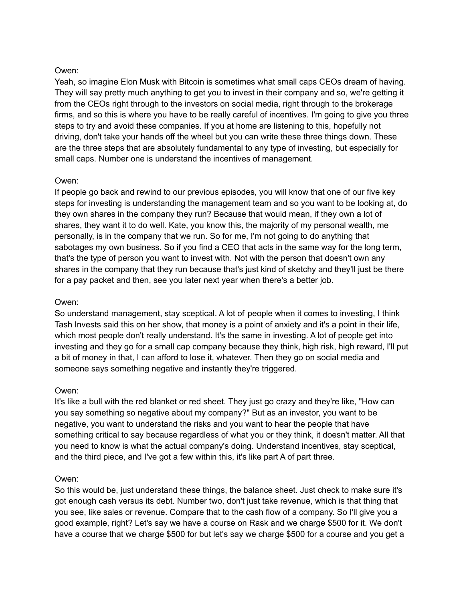Yeah, so imagine Elon Musk with Bitcoin is sometimes what small caps CEOs dream of having. They will say pretty much anything to get you to invest in their company and so, we're getting it from the CEOs right through to the investors on social media, right through to the brokerage firms, and so this is where you have to be really careful of incentives. I'm going to give you three steps to try and avoid these companies. If you at home are listening to this, hopefully not driving, don't take your hands off the wheel but you can write these three things down. These are the three steps that are absolutely fundamental to any type of investing, but especially for small caps. Number one is understand the incentives of management.

# Owen:

If people go back and rewind to our previous episodes, you will know that one of our five key steps for investing is understanding the management team and so you want to be looking at, do they own shares in the company they run? Because that would mean, if they own a lot of shares, they want it to do well. Kate, you know this, the majority of my personal wealth, me personally, is in the company that we run. So for me, I'm not going to do anything that sabotages my own business. So if you find a CEO that acts in the same way for the long term, that's the type of person you want to invest with. Not with the person that doesn't own any shares in the company that they run because that's just kind of sketchy and they'll just be there for a pay packet and then, see you later next year when there's a better job.

# Owen:

So understand management, stay sceptical. A lot of people when it comes to investing, I think Tash Invests said this on her show, that money is a point of anxiety and it's a point in their life, which most people don't really understand. It's the same in investing. A lot of people get into investing and they go for a small cap company because they think, high risk, high reward, I'll put a bit of money in that, I can afford to lose it, whatever. Then they go on social media and someone says something negative and instantly they're triggered.

# Owen:

It's like a bull with the red blanket or red sheet. They just go crazy and they're like, "How can you say something so negative about my company?" But as an investor, you want to be negative, you want to understand the risks and you want to hear the people that have something critical to say because regardless of what you or they think, it doesn't matter. All that you need to know is what the actual company's doing. Understand incentives, stay sceptical, and the third piece, and I've got a few within this, it's like part A of part three.

# Owen:

So this would be, just understand these things, the balance sheet. Just check to make sure it's got enough cash versus its debt. Number two, don't just take revenue, which is that thing that you see, like sales or revenue. Compare that to the cash flow of a company. So I'll give you a good example, right? Let's say we have a course on Rask and we charge \$500 for it. We don't have a course that we charge \$500 for but let's say we charge \$500 for a course and you get a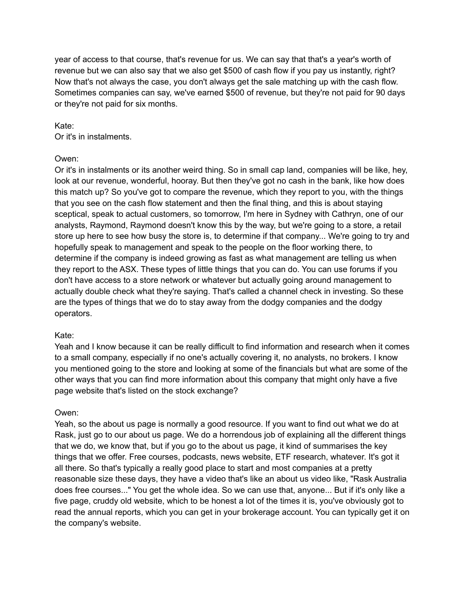year of access to that course, that's revenue for us. We can say that that's a year's worth of revenue but we can also say that we also get \$500 of cash flow if you pay us instantly, right? Now that's not always the case, you don't always get the sale matching up with the cash flow. Sometimes companies can say, we've earned \$500 of revenue, but they're not paid for 90 days or they're not paid for six months.

# Kate:

Or it's in instalments.

# Owen:

Or it's in instalments or its another weird thing. So in small cap land, companies will be like, hey, look at our revenue, wonderful, hooray. But then they've got no cash in the bank, like how does this match up? So you've got to compare the revenue, which they report to you, with the things that you see on the cash flow statement and then the final thing, and this is about staying sceptical, speak to actual customers, so tomorrow, I'm here in Sydney with Cathryn, one of our analysts, Raymond, Raymond doesn't know this by the way, but we're going to a store, a retail store up here to see how busy the store is, to determine if that company... We're going to try and hopefully speak to management and speak to the people on the floor working there, to determine if the company is indeed growing as fast as what management are telling us when they report to the ASX. These types of little things that you can do. You can use forums if you don't have access to a store network or whatever but actually going around management to actually double check what they're saying. That's called a channel check in investing. So these are the types of things that we do to stay away from the dodgy companies and the dodgy operators.

# Kate:

Yeah and I know because it can be really difficult to find information and research when it comes to a small company, especially if no one's actually covering it, no analysts, no brokers. I know you mentioned going to the store and looking at some of the financials but what are some of the other ways that you can find more information about this company that might only have a five page website that's listed on the stock exchange?

# Owen:

Yeah, so the about us page is normally a good resource. If you want to find out what we do at Rask, just go to our about us page. We do a horrendous job of explaining all the different things that we do, we know that, but if you go to the about us page, it kind of summarises the key things that we offer. Free courses, podcasts, news website, ETF research, whatever. It's got it all there. So that's typically a really good place to start and most companies at a pretty reasonable size these days, they have a video that's like an about us video like, "Rask Australia does free courses..." You get the whole idea. So we can use that, anyone... But if it's only like a five page, cruddy old website, which to be honest a lot of the times it is, you've obviously got to read the annual reports, which you can get in your brokerage account. You can typically get it on the company's website.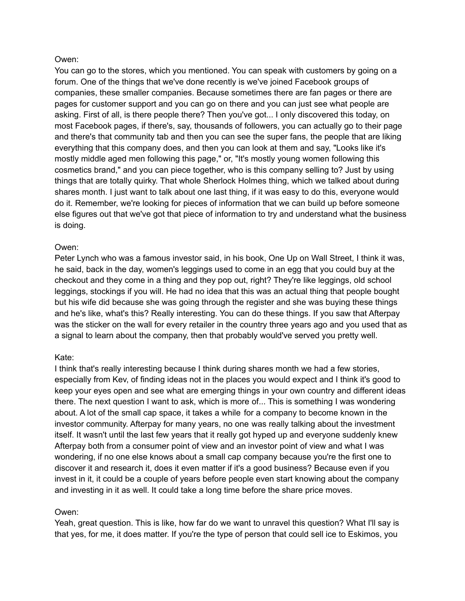You can go to the stores, which you mentioned. You can speak with customers by going on a forum. One of the things that we've done recently is we've joined Facebook groups of companies, these smaller companies. Because sometimes there are fan pages or there are pages for customer support and you can go on there and you can just see what people are asking. First of all, is there people there? Then you've got... I only discovered this today, on most Facebook pages, if there's, say, thousands of followers, you can actually go to their page and there's that community tab and then you can see the super fans, the people that are liking everything that this company does, and then you can look at them and say, "Looks like it's mostly middle aged men following this page," or, "It's mostly young women following this cosmetics brand," and you can piece together, who is this company selling to? Just by using things that are totally quirky. That whole Sherlock Holmes thing, which we talked about during shares month. I just want to talk about one last thing, if it was easy to do this, everyone would do it. Remember, we're looking for pieces of information that we can build up before someone else figures out that we've got that piece of information to try and understand what the business is doing.

#### Owen:

Peter Lynch who was a famous investor said, in his book, One Up on Wall Street, I think it was, he said, back in the day, women's leggings used to come in an egg that you could buy at the checkout and they come in a thing and they pop out, right? They're like leggings, old school leggings, stockings if you will. He had no idea that this was an actual thing that people bought but his wife did because she was going through the register and she was buying these things and he's like, what's this? Really interesting. You can do these things. If you saw that Afterpay was the sticker on the wall for every retailer in the country three years ago and you used that as a signal to learn about the company, then that probably would've served you pretty well.

# Kate:

I think that's really interesting because I think during shares month we had a few stories, especially from Kev, of finding ideas not in the places you would expect and I think it's good to keep your eyes open and see what are emerging things in your own country and different ideas there. The next question I want to ask, which is more of... This is something I was wondering about. A lot of the small cap space, it takes a while for a company to become known in the investor community. Afterpay for many years, no one was really talking about the investment itself. It wasn't until the last few years that it really got hyped up and everyone suddenly knew Afterpay both from a consumer point of view and an investor point of view and what I was wondering, if no one else knows about a small cap company because you're the first one to discover it and research it, does it even matter if it's a good business? Because even if you invest in it, it could be a couple of years before people even start knowing about the company and investing in it as well. It could take a long time before the share price moves.

#### Owen:

Yeah, great question. This is like, how far do we want to unravel this question? What I'll say is that yes, for me, it does matter. If you're the type of person that could sell ice to Eskimos, you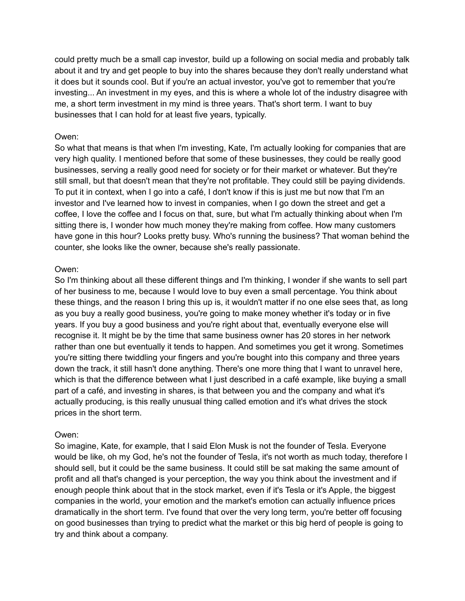could pretty much be a small cap investor, build up a following on social media and probably talk about it and try and get people to buy into the shares because they don't really understand what it does but it sounds cool. But if you're an actual investor, you've got to remember that you're investing... An investment in my eyes, and this is where a whole lot of the industry disagree with me, a short term investment in my mind is three years. That's short term. I want to buy businesses that I can hold for at least five years, typically.

# Owen:

So what that means is that when I'm investing, Kate, I'm actually looking for companies that are very high quality. I mentioned before that some of these businesses, they could be really good businesses, serving a really good need for society or for their market or whatever. But they're still small, but that doesn't mean that they're not profitable. They could still be paying dividends. To put it in context, when I go into a café, I don't know if this is just me but now that I'm an investor and I've learned how to invest in companies, when I go down the street and get a coffee, I love the coffee and I focus on that, sure, but what I'm actually thinking about when I'm sitting there is, I wonder how much money they're making from coffee. How many customers have gone in this hour? Looks pretty busy. Who's running the business? That woman behind the counter, she looks like the owner, because she's really passionate.

# Owen:

So I'm thinking about all these different things and I'm thinking, I wonder if she wants to sell part of her business to me, because I would love to buy even a small percentage. You think about these things, and the reason I bring this up is, it wouldn't matter if no one else sees that, as long as you buy a really good business, you're going to make money whether it's today or in five years. If you buy a good business and you're right about that, eventually everyone else will recognise it. It might be by the time that same business owner has 20 stores in her network rather than one but eventually it tends to happen. And sometimes you get it wrong. Sometimes you're sitting there twiddling your fingers and you're bought into this company and three years down the track, it still hasn't done anything. There's one more thing that I want to unravel here, which is that the difference between what I just described in a café example, like buying a small part of a café, and investing in shares, is that between you and the company and what it's actually producing, is this really unusual thing called emotion and it's what drives the stock prices in the short term.

# Owen:

So imagine, Kate, for example, that I said Elon Musk is not the founder of Tesla. Everyone would be like, oh my God, he's not the founder of Tesla, it's not worth as much today, therefore I should sell, but it could be the same business. It could still be sat making the same amount of profit and all that's changed is your perception, the way you think about the investment and if enough people think about that in the stock market, even if it's Tesla or it's Apple, the biggest companies in the world, your emotion and the market's emotion can actually influence prices dramatically in the short term. I've found that over the very long term, you're better off focusing on good businesses than trying to predict what the market or this big herd of people is going to try and think about a company.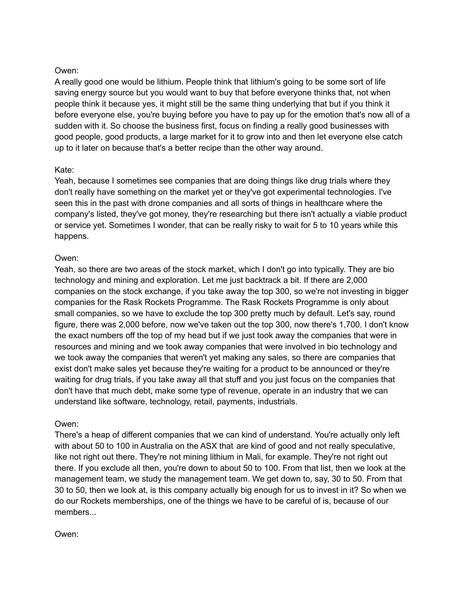A really good one would be lithium. People think that lithium's going to be some sort of life saving energy source but you would want to buy that before everyone thinks that, not when people think it because yes, it might still be the same thing underlying that but if you think it before everyone else, you're buying before you have to pay up for the emotion that's now all of a sudden with it. So choose the business first, focus on finding a really good businesses with good people, good products, a large market for it to grow into and then let everyone else catch up to it later on because that's a better recipe than the other way around.

# Kate:

Yeah, because I sometimes see companies that are doing things like drug trials where they don't really have something on the market yet or they've got experimental technologies. I've seen this in the past with drone companies and all sorts of things in healthcare where the company's listed, they've got money, they're researching but there isn't actually a viable product or service yet. Sometimes I wonder, that can be really risky to wait for 5 to 10 years while this happens.

# Owen:

Yeah, so there are two areas of the stock market, which I don't go into typically. They are bio technology and mining and exploration. Let me just backtrack a bit. If there are 2,000 companies on the stock exchange, if you take away the top 300, so we're not investing in bigger companies for the Rask Rockets Programme. The Rask Rockets Programme is only about small companies, so we have to exclude the top 300 pretty much by default. Let's say, round figure, there was 2,000 before, now we've taken out the top 300, now there's 1,700. I don't know the exact numbers off the top of my head but if we just took away the companies that were in resources and mining and we took away companies that were involved in bio technology and we took away the companies that weren't yet making any sales, so there are companies that exist don't make sales yet because they're waiting for a product to be announced or they're waiting for drug trials, if you take away all that stuff and you just focus on the companies that don't have that much debt, make some type of revenue, operate in an industry that we can understand like software, technology, retail, payments, industrials.

# Owen:

There's a heap of different companies that we can kind of understand. You're actually only left with about 50 to 100 in Australia on the ASX that are kind of good and not really speculative, like not right out there. They're not mining lithium in Mali, for example. They're not right out there. If you exclude all then, you're down to about 50 to 100. From that list, then we look at the management team, we study the management team. We get down to, say, 30 to 50. From that 30 to 50, then we look at, is this company actually big enough for us to invest in it? So when we do our Rockets memberships, one of the things we have to be careful of is, because of our members...

# Owen: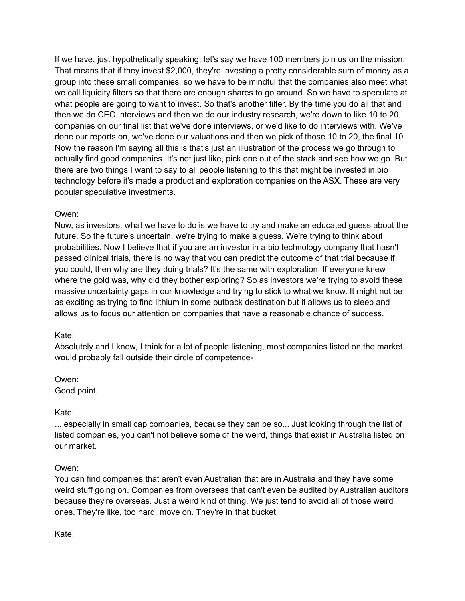If we have, just hypothetically speaking, let's say we have 100 members join us on the mission. That means that if they invest \$2,000, they're investing a pretty considerable sum of money as a group into these small companies, so we have to be mindful that the companies also meet what we call liquidity filters so that there are enough shares to go around. So we have to speculate at what people are going to want to invest. So that's another filter. By the time you do all that and then we do CEO interviews and then we do our industry research, we're down to like 10 to 20 companies on our final list that we've done interviews, or we'd like to do interviews with. We've done our reports on, we've done our valuations and then we pick of those 10 to 20, the final 10. Now the reason I'm saying all this is that's just an illustration of the process we go through to actually find good companies. It's not just like, pick one out of the stack and see how we go. But there are two things I want to say to all people listening to this that might be invested in bio technology before it's made a product and exploration companies on the ASX. These are very popular speculative investments.

# Owen:

Now, as investors, what we have to do is we have to try and make an educated guess about the future. So the future's uncertain, we're trying to make a guess. We're trying to think about probabilities. Now I believe that if you are an investor in a bio technology company that hasn't passed clinical trials, there is no way that you can predict the outcome of that trial because if you could, then why are they doing trials? It's the same with exploration. If everyone knew where the gold was, why did they bother exploring? So as investors we're trying to avoid these massive uncertainty gaps in our knowledge and trying to stick to what we know. It might not be as exciting as trying to find lithium in some outback destination but it allows us to sleep and allows us to focus our attention on companies that have a reasonable chance of success.

# Kate:

Absolutely and I know, I think for a lot of people listening, most companies listed on the market would probably fall outside their circle of competence-

# Owen: Good point.

# Kate:

... especially in small cap companies, because they can be so... Just looking through the list of listed companies, you can't not believe some of the weird, things that exist in Australia listed on our market.

# Owen:

You can find companies that aren't even Australian that are in Australia and they have some weird stuff going on. Companies from overseas that can't even be audited by Australian auditors because they're overseas. Just a weird kind of thing. We just tend to avoid all of those weird ones. They're like, too hard, move on. They're in that bucket.

Kate: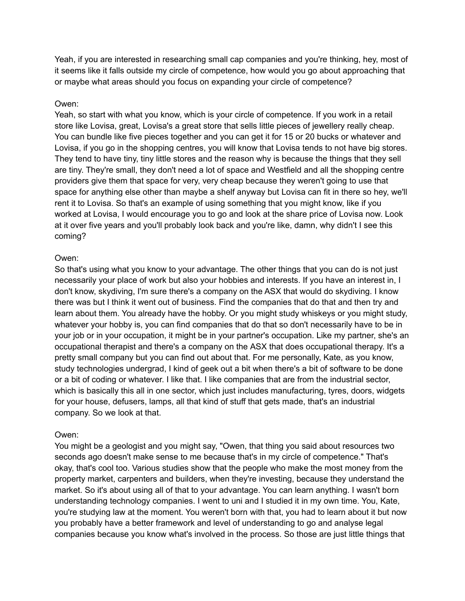Yeah, if you are interested in researching small cap companies and you're thinking, hey, most of it seems like it falls outside my circle of competence, how would you go about approaching that or maybe what areas should you focus on expanding your circle of competence?

#### Owen:

Yeah, so start with what you know, which is your circle of competence. If you work in a retail store like Lovisa, great, Lovisa's a great store that sells little pieces of jewellery really cheap. You can bundle like five pieces together and you can get it for 15 or 20 bucks or whatever and Lovisa, if you go in the shopping centres, you will know that Lovisa tends to not have big stores. They tend to have tiny, tiny little stores and the reason why is because the things that they sell are tiny. They're small, they don't need a lot of space and Westfield and all the shopping centre providers give them that space for very, very cheap because they weren't going to use that space for anything else other than maybe a shelf anyway but Lovisa can fit in there so hey, we'll rent it to Lovisa. So that's an example of using something that you might know, like if you worked at Lovisa, I would encourage you to go and look at the share price of Lovisa now. Look at it over five years and you'll probably look back and you're like, damn, why didn't I see this coming?

#### Owen:

So that's using what you know to your advantage. The other things that you can do is not just necessarily your place of work but also your hobbies and interests. If you have an interest in, I don't know, skydiving, I'm sure there's a company on the ASX that would do skydiving. I know there was but I think it went out of business. Find the companies that do that and then try and learn about them. You already have the hobby. Or you might study whiskeys or you might study, whatever your hobby is, you can find companies that do that so don't necessarily have to be in your job or in your occupation, it might be in your partner's occupation. Like my partner, she's an occupational therapist and there's a company on the ASX that does occupational therapy. It's a pretty small company but you can find out about that. For me personally, Kate, as you know, study technologies undergrad, I kind of geek out a bit when there's a bit of software to be done or a bit of coding or whatever. I like that. I like companies that are from the industrial sector, which is basically this all in one sector, which just includes manufacturing, tyres, doors, widgets for your house, defusers, lamps, all that kind of stuff that gets made, that's an industrial company. So we look at that.

# Owen:

You might be a geologist and you might say, "Owen, that thing you said about resources two seconds ago doesn't make sense to me because that's in my circle of competence." That's okay, that's cool too. Various studies show that the people who make the most money from the property market, carpenters and builders, when they're investing, because they understand the market. So it's about using all of that to your advantage. You can learn anything. I wasn't born understanding technology companies. I went to uni and I studied it in my own time. You, Kate, you're studying law at the moment. You weren't born with that, you had to learn about it but now you probably have a better framework and level of understanding to go and analyse legal companies because you know what's involved in the process. So those are just little things that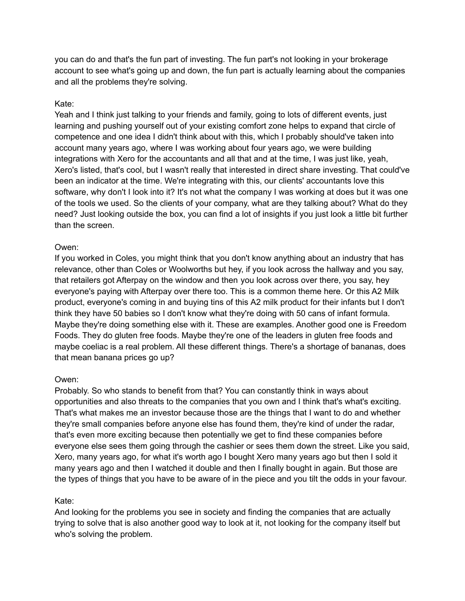you can do and that's the fun part of investing. The fun part's not looking in your brokerage account to see what's going up and down, the fun part is actually learning about the companies and all the problems they're solving.

# Kate:

Yeah and I think just talking to your friends and family, going to lots of different events, just learning and pushing yourself out of your existing comfort zone helps to expand that circle of competence and one idea I didn't think about with this, which I probably should've taken into account many years ago, where I was working about four years ago, we were building integrations with Xero for the accountants and all that and at the time, I was just like, yeah, Xero's listed, that's cool, but I wasn't really that interested in direct share investing. That could've been an indicator at the time. We're integrating with this, our clients' accountants love this software, why don't I look into it? It's not what the company I was working at does but it was one of the tools we used. So the clients of your company, what are they talking about? What do they need? Just looking outside the box, you can find a lot of insights if you just look a little bit further than the screen.

# Owen:

If you worked in Coles, you might think that you don't know anything about an industry that has relevance, other than Coles or Woolworths but hey, if you look across the hallway and you say, that retailers got Afterpay on the window and then you look across over there, you say, hey everyone's paying with Afterpay over there too. This is a common theme here. Or this A2 Milk product, everyone's coming in and buying tins of this A2 milk product for their infants but I don't think they have 50 babies so I don't know what they're doing with 50 cans of infant formula. Maybe they're doing something else with it. These are examples. Another good one is Freedom Foods. They do gluten free foods. Maybe they're one of the leaders in gluten free foods and maybe coeliac is a real problem. All these different things. There's a shortage of bananas, does that mean banana prices go up?

# Owen:

Probably. So who stands to benefit from that? You can constantly think in ways about opportunities and also threats to the companies that you own and I think that's what's exciting. That's what makes me an investor because those are the things that I want to do and whether they're small companies before anyone else has found them, they're kind of under the radar, that's even more exciting because then potentially we get to find these companies before everyone else sees them going through the cashier or sees them down the street. Like you said, Xero, many years ago, for what it's worth ago I bought Xero many years ago but then I sold it many years ago and then I watched it double and then I finally bought in again. But those are the types of things that you have to be aware of in the piece and you tilt the odds in your favour.

# Kate:

And looking for the problems you see in society and finding the companies that are actually trying to solve that is also another good way to look at it, not looking for the company itself but who's solving the problem.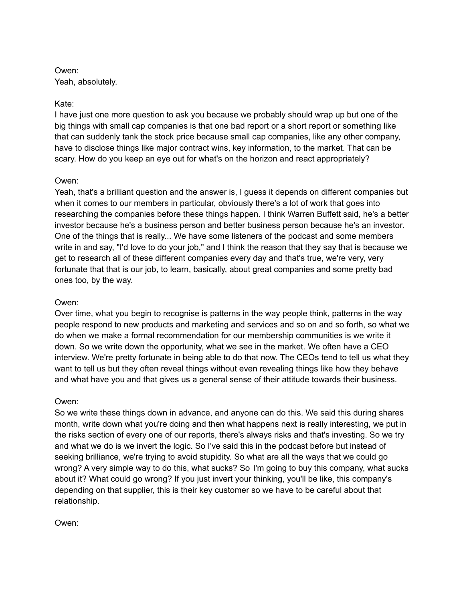# Owen: Yeah, absolutely.

# Kate:

I have just one more question to ask you because we probably should wrap up but one of the big things with small cap companies is that one bad report or a short report or something like that can suddenly tank the stock price because small cap companies, like any other company, have to disclose things like major contract wins, key information, to the market. That can be scary. How do you keep an eye out for what's on the horizon and react appropriately?

# Owen:

Yeah, that's a brilliant question and the answer is, I guess it depends on different companies but when it comes to our members in particular, obviously there's a lot of work that goes into researching the companies before these things happen. I think Warren Buffett said, he's a better investor because he's a business person and better business person because he's an investor. One of the things that is really... We have some listeners of the podcast and some members write in and say, "I'd love to do your job," and I think the reason that they say that is because we get to research all of these different companies every day and that's true, we're very, very fortunate that that is our job, to learn, basically, about great companies and some pretty bad ones too, by the way.

# Owen:

Over time, what you begin to recognise is patterns in the way people think, patterns in the way people respond to new products and marketing and services and so on and so forth, so what we do when we make a formal recommendation for our membership communities is we write it down. So we write down the opportunity, what we see in the market. We often have a CEO interview. We're pretty fortunate in being able to do that now. The CEOs tend to tell us what they want to tell us but they often reveal things without even revealing things like how they behave and what have you and that gives us a general sense of their attitude towards their business.

# Owen:

So we write these things down in advance, and anyone can do this. We said this during shares month, write down what you're doing and then what happens next is really interesting, we put in the risks section of every one of our reports, there's always risks and that's investing. So we try and what we do is we invert the logic. So I've said this in the podcast before but instead of seeking brilliance, we're trying to avoid stupidity. So what are all the ways that we could go wrong? A very simple way to do this, what sucks? So I'm going to buy this company, what sucks about it? What could go wrong? If you just invert your thinking, you'll be like, this company's depending on that supplier, this is their key customer so we have to be careful about that relationship.

# Owen: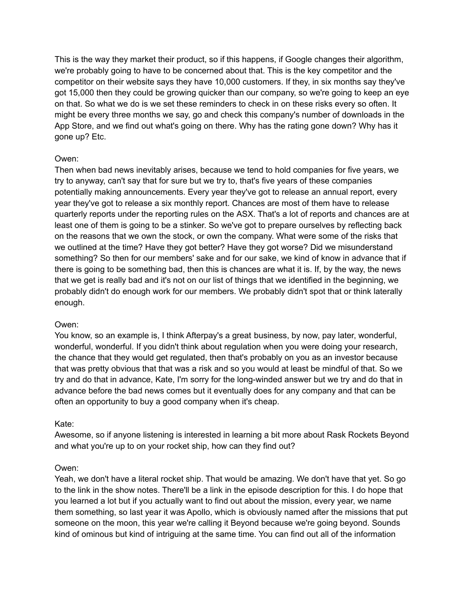This is the way they market their product, so if this happens, if Google changes their algorithm, we're probably going to have to be concerned about that. This is the key competitor and the competitor on their website says they have 10,000 customers. If they, in six months say they've got 15,000 then they could be growing quicker than our company, so we're going to keep an eye on that. So what we do is we set these reminders to check in on these risks every so often. It might be every three months we say, go and check this company's number of downloads in the App Store, and we find out what's going on there. Why has the rating gone down? Why has it gone up? Etc.

# Owen:

Then when bad news inevitably arises, because we tend to hold companies for five years, we try to anyway, can't say that for sure but we try to, that's five years of these companies potentially making announcements. Every year they've got to release an annual report, every year they've got to release a six monthly report. Chances are most of them have to release quarterly reports under the reporting rules on the ASX. That's a lot of reports and chances are at least one of them is going to be a stinker. So we've got to prepare ourselves by reflecting back on the reasons that we own the stock, or own the company. What were some of the risks that we outlined at the time? Have they got better? Have they got worse? Did we misunderstand something? So then for our members' sake and for our sake, we kind of know in advance that if there is going to be something bad, then this is chances are what it is. If, by the way, the news that we get is really bad and it's not on our list of things that we identified in the beginning, we probably didn't do enough work for our members. We probably didn't spot that or think laterally enough.

# Owen:

You know, so an example is, I think Afterpay's a great business, by now, pay later, wonderful, wonderful, wonderful. If you didn't think about regulation when you were doing your research, the chance that they would get regulated, then that's probably on you as an investor because that was pretty obvious that that was a risk and so you would at least be mindful of that. So we try and do that in advance, Kate, I'm sorry for the long-winded answer but we try and do that in advance before the bad news comes but it eventually does for any company and that can be often an opportunity to buy a good company when it's cheap.

# Kate:

Awesome, so if anyone listening is interested in learning a bit more about Rask Rockets Beyond and what you're up to on your rocket ship, how can they find out?

# Owen:

Yeah, we don't have a literal rocket ship. That would be amazing. We don't have that yet. So go to the link in the show notes. There'll be a link in the episode description for this. I do hope that you learned a lot but if you actually want to find out about the mission, every year, we name them something, so last year it was Apollo, which is obviously named after the missions that put someone on the moon, this year we're calling it Beyond because we're going beyond. Sounds kind of ominous but kind of intriguing at the same time. You can find out all of the information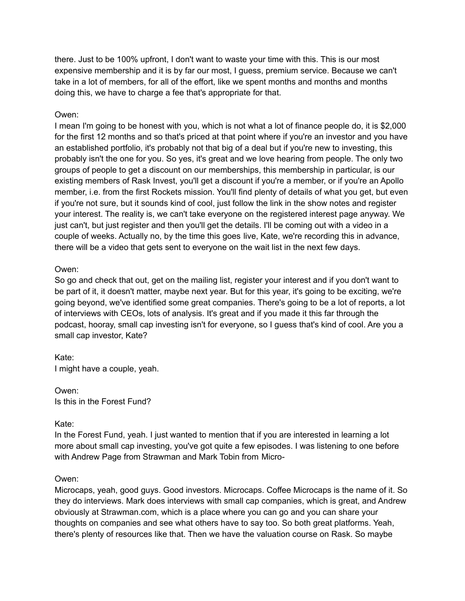there. Just to be 100% upfront, I don't want to waste your time with this. This is our most expensive membership and it is by far our most, I guess, premium service. Because we can't take in a lot of members, for all of the effort, like we spent months and months and months doing this, we have to charge a fee that's appropriate for that.

# Owen:

I mean I'm going to be honest with you, which is not what a lot of finance people do, it is \$2,000 for the first 12 months and so that's priced at that point where if you're an investor and you have an established portfolio, it's probably not that big of a deal but if you're new to investing, this probably isn't the one for you. So yes, it's great and we love hearing from people. The only two groups of people to get a discount on our memberships, this membership in particular, is our existing members of Rask Invest, you'll get a discount if you're a member, or if you're an Apollo member, i.e. from the first Rockets mission. You'll find plenty of details of what you get, but even if you're not sure, but it sounds kind of cool, just follow the link in the show notes and register your interest. The reality is, we can't take everyone on the registered interest page anyway. We just can't, but just register and then you'll get the details. I'll be coming out with a video in a couple of weeks. Actually no, by the time this goes live, Kate, we're recording this in advance, there will be a video that gets sent to everyone on the wait list in the next few days.

# Owen:

So go and check that out, get on the mailing list, register your interest and if you don't want to be part of it, it doesn't matter, maybe next year. But for this year, it's going to be exciting, we're going beyond, we've identified some great companies. There's going to be a lot of reports, a lot of interviews with CEOs, lots of analysis. It's great and if you made it this far through the podcast, hooray, small cap investing isn't for everyone, so I guess that's kind of cool. Are you a small cap investor, Kate?

Kate: I might have a couple, yeah.

Owen: Is this in the Forest Fund?

# Kate:

In the Forest Fund, yeah. I just wanted to mention that if you are interested in learning a lot more about small cap investing, you've got quite a few episodes. I was listening to one before with Andrew Page from Strawman and Mark Tobin from Micro-

# Owen:

Microcaps, yeah, good guys. Good investors. Microcaps. Coffee Microcaps is the name of it. So they do interviews. Mark does interviews with small cap companies, which is great, and Andrew obviously at Strawman.com, which is a place where you can go and you can share your thoughts on companies and see what others have to say too. So both great platforms. Yeah, there's plenty of resources like that. Then we have the valuation course on Rask. So maybe